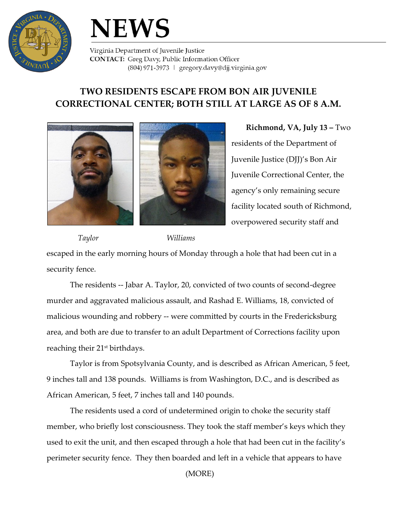

## **NEWS**

Virginia Department of Juvenile Justice **CONTACT:** Greg Davy, Public Information Officer (804) 971-3973 | gregory.davy@djj.virginia.gov

## **TWO RESIDENTS ESCAPE FROM BON AIR JUVENILE CORRECTIONAL CENTER; BOTH STILL AT LARGE AS OF 8 A.M.**



**Richmond, VA, July 13 –** Two residents of the Department of Juvenile Justice (DJJ)'s Bon Air Juvenile Correctional Center, the agency's only remaining secure facility located south of Richmond, overpowered security staff and

 *Taylor Williams* escaped in the early morning hours of Monday through a hole that had been cut in a security fence.

The residents -- Jabar A. Taylor, 20, convicted of two counts of second-degree murder and aggravated malicious assault, and Rashad E. Williams, 18, convicted of malicious wounding and robbery -- were committed by courts in the Fredericksburg area, and both are due to transfer to an adult Department of Corrections facility upon reaching their 21<sup>st</sup> birthdays.

Taylor is from Spotsylvania County, and is described as African American, 5 feet, 9 inches tall and 138 pounds. Williams is from Washington, D.C., and is described as African American, 5 feet, 7 inches tall and 140 pounds.

The residents used a cord of undetermined origin to choke the security staff member, who briefly lost consciousness. They took the staff member's keys which they used to exit the unit, and then escaped through a hole that had been cut in the facility's perimeter security fence. They then boarded and left in a vehicle that appears to have

(MORE)